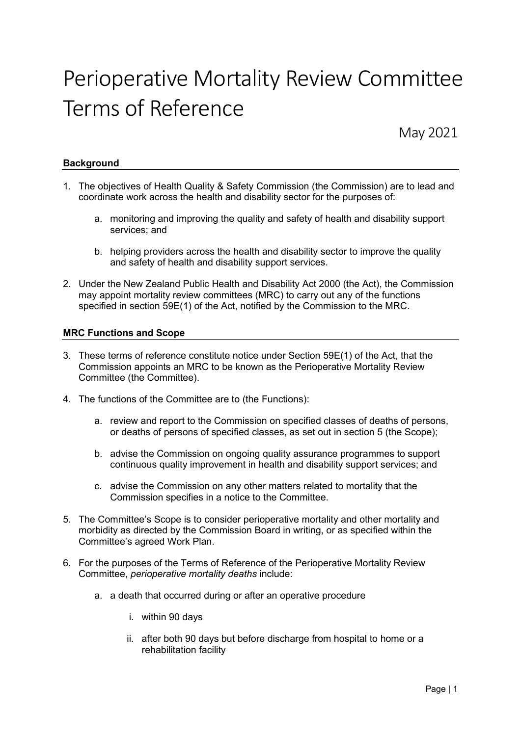# Perioperative Mortality Review Committee Terms of Reference

May 2021

# **Background**

- 1. The objectives of Health Quality & Safety Commission (the Commission) are to lead and coordinate work across the health and disability sector for the purposes of:
	- a. monitoring and improving the quality and safety of health and disability support services; and
	- b. helping providers across the health and disability sector to improve the quality and safety of health and disability support services.
- 2. Under the New Zealand Public Health and Disability Act 2000 (the Act), the Commission may appoint mortality review committees (MRC) to carry out any of the functions specified in section 59E(1) of the Act, notified by the Commission to the MRC.

# MRC Functions and Scope

- 3. These terms of reference constitute notice under Section 59E(1) of the Act, that the Commission appoints an MRC to be known as the Perioperative Mortality Review Committee (the Committee).
- 4. The functions of the Committee are to (the Functions):
	- a. review and report to the Commission on specified classes of deaths of persons, or deaths of persons of specified classes, as set out in section 5 (the Scope);
	- b. advise the Commission on ongoing quality assurance programmes to support continuous quality improvement in health and disability support services; and
	- c. advise the Commission on any other matters related to mortality that the Commission specifies in a notice to the Committee.
- 5. The Committee's Scope is to consider perioperative mortality and other mortality and morbidity as directed by the Commission Board in writing, or as specified within the Committee's agreed Work Plan.
- 6. For the purposes of the Terms of Reference of the Perioperative Mortality Review Committee, perioperative mortality deaths include:
	- a. a death that occurred during or after an operative procedure
		- i. within 90 days
		- ii. after both 90 days but before discharge from hospital to home or a rehabilitation facility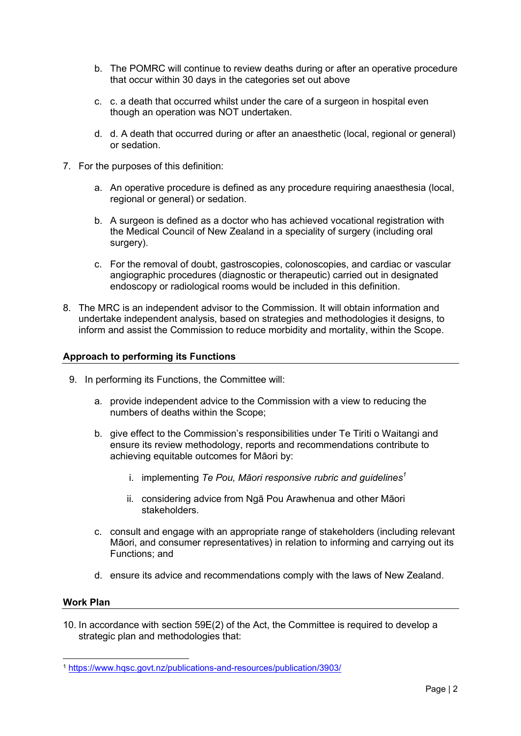- b. The POMRC will continue to review deaths during or after an operative procedure that occur within 30 days in the categories set out above
- c. c. a death that occurred whilst under the care of a surgeon in hospital even though an operation was NOT undertaken.
- d. d. A death that occurred during or after an anaesthetic (local, regional or general) or sedation.
- 7. For the purposes of this definition:
	- a. An operative procedure is defined as any procedure requiring anaesthesia (local, regional or general) or sedation.
	- b. A surgeon is defined as a doctor who has achieved vocational registration with the Medical Council of New Zealand in a speciality of surgery (including oral surgery).
	- c. For the removal of doubt, gastroscopies, colonoscopies, and cardiac or vascular angiographic procedures (diagnostic or therapeutic) carried out in designated endoscopy or radiological rooms would be included in this definition.
- 8. The MRC is an independent advisor to the Commission. It will obtain information and undertake independent analysis, based on strategies and methodologies it designs, to inform and assist the Commission to reduce morbidity and mortality, within the Scope.

# Approach to performing its Functions

- 9. In performing its Functions, the Committee will:
	- a. provide independent advice to the Commission with a view to reducing the numbers of deaths within the Scope;
	- b. give effect to the Commission's responsibilities under Te Tiriti o Waitangi and ensure its review methodology, reports and recommendations contribute to achieving equitable outcomes for Māori by:
		- i. implementing Te Pou, Māori responsive rubric and guidelines<sup>1</sup>
		- ii. considering advice from Ngā Pou Arawhenua and other Māori stakeholders.
	- c. consult and engage with an appropriate range of stakeholders (including relevant Māori, and consumer representatives) in relation to informing and carrying out its Functions; and
	- d. ensure its advice and recommendations comply with the laws of New Zealand.

#### Work Plan

10. In accordance with section 59E(2) of the Act, the Committee is required to develop a strategic plan and methodologies that:

<sup>1</sup> https://www.hqsc.govt.nz/publications-and-resources/publication/3903/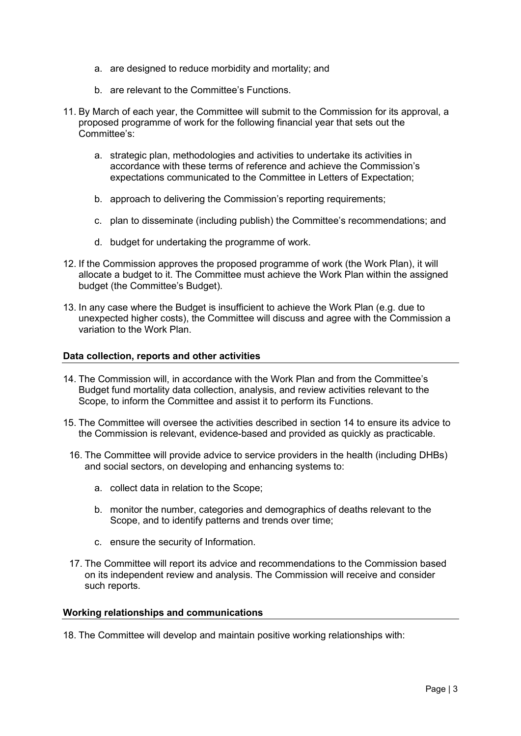- a. are designed to reduce morbidity and mortality; and
- b. are relevant to the Committee's Functions.
- 11. By March of each year, the Committee will submit to the Commission for its approval, a proposed programme of work for the following financial year that sets out the Committee's:
	- a. strategic plan, methodologies and activities to undertake its activities in accordance with these terms of reference and achieve the Commission's expectations communicated to the Committee in Letters of Expectation;
	- b. approach to delivering the Commission's reporting requirements;
	- c. plan to disseminate (including publish) the Committee's recommendations; and
	- d. budget for undertaking the programme of work.
- 12. If the Commission approves the proposed programme of work (the Work Plan), it will allocate a budget to it. The Committee must achieve the Work Plan within the assigned budget (the Committee's Budget).
- 13. In any case where the Budget is insufficient to achieve the Work Plan (e.g. due to unexpected higher costs), the Committee will discuss and agree with the Commission a variation to the Work Plan.

# Data collection, reports and other activities

- 14. The Commission will, in accordance with the Work Plan and from the Committee's Budget fund mortality data collection, analysis, and review activities relevant to the Scope, to inform the Committee and assist it to perform its Functions.
- 15. The Committee will oversee the activities described in section 14 to ensure its advice to the Commission is relevant, evidence-based and provided as quickly as practicable.
- 16. The Committee will provide advice to service providers in the health (including DHBs) and social sectors, on developing and enhancing systems to:
	- a. collect data in relation to the Scope;
	- b. monitor the number, categories and demographics of deaths relevant to the Scope, and to identify patterns and trends over time;
	- c. ensure the security of Information.
- 17. The Committee will report its advice and recommendations to the Commission based on its independent review and analysis. The Commission will receive and consider such reports.

#### Working relationships and communications

18. The Committee will develop and maintain positive working relationships with: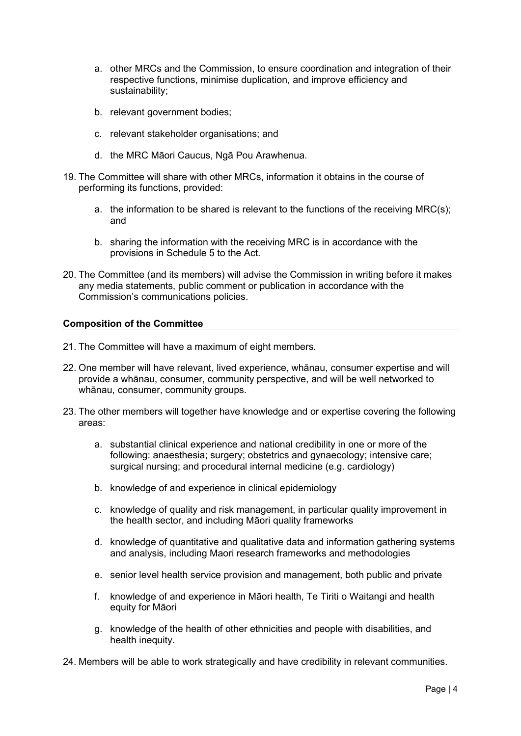- a. other MRCs and the Commission, to ensure coordination and integration of their respective functions, minimise duplication, and improve efficiency and sustainability;
- b. relevant government bodies;
- c. relevant stakeholder organisations; and
- d. the MRC Māori Caucus, Ngā Pou Arawhenua.
- 19. The Committee will share with other MRCs, information it obtains in the course of performing its functions, provided:
	- a. the information to be shared is relevant to the functions of the receiving MRC(s); and
	- b. sharing the information with the receiving MRC is in accordance with the provisions in Schedule 5 to the Act.
- 20. The Committee (and its members) will advise the Commission in writing before it makes any media statements, public comment or publication in accordance with the Commission's communications policies.

# Composition of the Committee

- 21. The Committee will have a maximum of eight members.
- 22. One member will have relevant, lived experience, whānau, consumer expertise and will provide a whānau, consumer, community perspective, and will be well networked to whānau, consumer, community groups.
- 23. The other members will together have knowledge and or expertise covering the following areas:
	- a. substantial clinical experience and national credibility in one or more of the following: anaesthesia; surgery; obstetrics and gynaecology; intensive care; surgical nursing; and procedural internal medicine (e.g. cardiology)
	- b. knowledge of and experience in clinical epidemiology
	- c. knowledge of quality and risk management, in particular quality improvement in the health sector, and including Māori quality frameworks
	- d. knowledge of quantitative and qualitative data and information gathering systems and analysis, including Maori research frameworks and methodologies
	- e. senior level health service provision and management, both public and private
	- f. knowledge of and experience in Māori health, Te Tiriti o Waitangi and health equity for Māori
	- g. knowledge of the health of other ethnicities and people with disabilities, and health inequity.

24. Members will be able to work strategically and have credibility in relevant communities.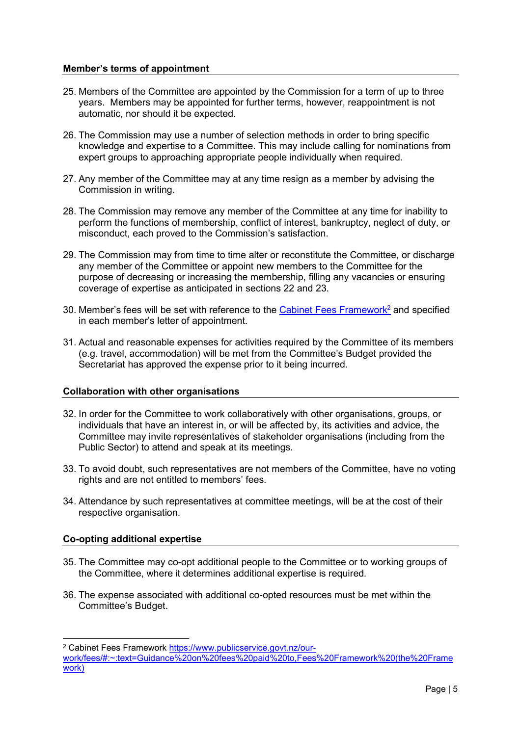# Member's terms of appointment

- 25. Members of the Committee are appointed by the Commission for a term of up to three years. Members may be appointed for further terms, however, reappointment is not automatic, nor should it be expected.
- 26. The Commission may use a number of selection methods in order to bring specific knowledge and expertise to a Committee. This may include calling for nominations from expert groups to approaching appropriate people individually when required.
- 27. Any member of the Committee may at any time resign as a member by advising the Commission in writing.
- 28. The Commission may remove any member of the Committee at any time for inability to perform the functions of membership, conflict of interest, bankruptcy, neglect of duty, or misconduct, each proved to the Commission's satisfaction.
- 29. The Commission may from time to time alter or reconstitute the Committee, or discharge any member of the Committee or appoint new members to the Committee for the purpose of decreasing or increasing the membership, filling any vacancies or ensuring coverage of expertise as anticipated in sections 22 and 23.
- 30. Member's fees will be set with reference to the Cabinet Fees Framework<sup>2</sup> and specified in each member's letter of appointment.
- 31. Actual and reasonable expenses for activities required by the Committee of its members (e.g. travel, accommodation) will be met from the Committee's Budget provided the Secretariat has approved the expense prior to it being incurred.

#### Collaboration with other organisations

- 32. In order for the Committee to work collaboratively with other organisations, groups, or individuals that have an interest in, or will be affected by, its activities and advice, the Committee may invite representatives of stakeholder organisations (including from the Public Sector) to attend and speak at its meetings.
- 33. To avoid doubt, such representatives are not members of the Committee, have no voting rights and are not entitled to members' fees.
- 34. Attendance by such representatives at committee meetings, will be at the cost of their respective organisation.

# Co-opting additional expertise

- 35. The Committee may co-opt additional people to the Committee or to working groups of the Committee, where it determines additional expertise is required.
- 36. The expense associated with additional co-opted resources must be met within the Committee's Budget.

<sup>&</sup>lt;sup>2</sup> Cabinet Fees Framework https://www.publicservice.govt.nz/our-

work/fees/#:~:text=Guidance%20on%20fees%20paid%20to,Fees%20Framework%20(the%20Frame work)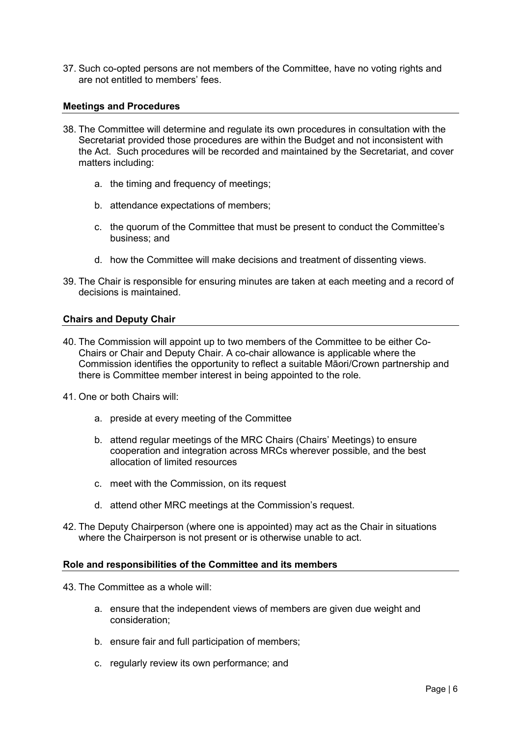37. Such co-opted persons are not members of the Committee, have no voting rights and are not entitled to members' fees.

# Meetings and Procedures

- 38. The Committee will determine and regulate its own procedures in consultation with the Secretariat provided those procedures are within the Budget and not inconsistent with the Act. Such procedures will be recorded and maintained by the Secretariat, and cover matters including:
	- a. the timing and frequency of meetings;
	- b. attendance expectations of members;
	- c. the quorum of the Committee that must be present to conduct the Committee's business; and
	- d. how the Committee will make decisions and treatment of dissenting views.
- 39. The Chair is responsible for ensuring minutes are taken at each meeting and a record of decisions is maintained.

# Chairs and Deputy Chair

- 40. The Commission will appoint up to two members of the Committee to be either Co-Chairs or Chair and Deputy Chair. A co-chair allowance is applicable where the Commission identifies the opportunity to reflect a suitable Māori/Crown partnership and there is Committee member interest in being appointed to the role.
- 41. One or both Chairs will:
	- a. preside at every meeting of the Committee
	- b. attend regular meetings of the MRC Chairs (Chairs' Meetings) to ensure cooperation and integration across MRCs wherever possible, and the best allocation of limited resources
	- c. meet with the Commission, on its request
	- d. attend other MRC meetings at the Commission's request.
- 42. The Deputy Chairperson (where one is appointed) may act as the Chair in situations where the Chairperson is not present or is otherwise unable to act.

#### Role and responsibilities of the Committee and its members

- 43. The Committee as a whole will:
	- a. ensure that the independent views of members are given due weight and consideration;
	- b. ensure fair and full participation of members;
	- c. regularly review its own performance; and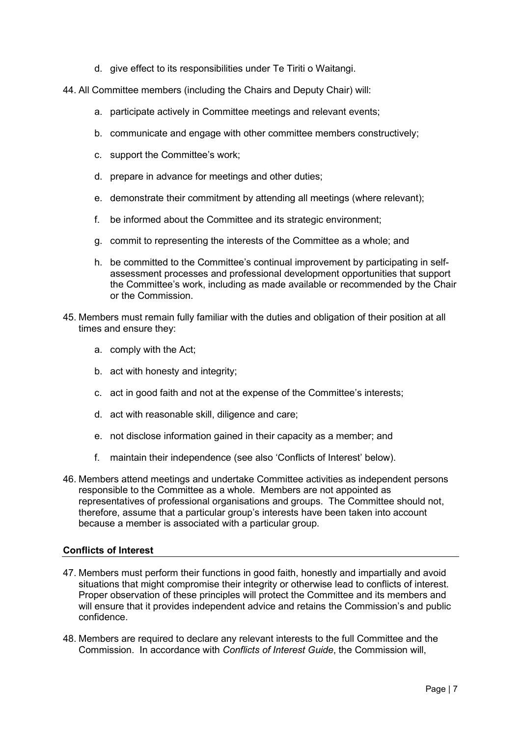- d. give effect to its responsibilities under Te Tiriti o Waitangi.
- 44. All Committee members (including the Chairs and Deputy Chair) will:
	- a. participate actively in Committee meetings and relevant events;
	- b. communicate and engage with other committee members constructively;
	- c. support the Committee's work;
	- d. prepare in advance for meetings and other duties;
	- e. demonstrate their commitment by attending all meetings (where relevant);
	- f. be informed about the Committee and its strategic environment;
	- g. commit to representing the interests of the Committee as a whole; and
	- h. be committed to the Committee's continual improvement by participating in selfassessment processes and professional development opportunities that support the Committee's work, including as made available or recommended by the Chair or the Commission.
- 45. Members must remain fully familiar with the duties and obligation of their position at all times and ensure they:
	- a. comply with the Act;
	- b. act with honesty and integrity;
	- c. act in good faith and not at the expense of the Committee's interests;
	- d. act with reasonable skill, diligence and care;
	- e. not disclose information gained in their capacity as a member; and
	- f. maintain their independence (see also 'Conflicts of Interest' below).
- 46. Members attend meetings and undertake Committee activities as independent persons responsible to the Committee as a whole. Members are not appointed as representatives of professional organisations and groups. The Committee should not, therefore, assume that a particular group's interests have been taken into account because a member is associated with a particular group.

# Conflicts of Interest

- 47. Members must perform their functions in good faith, honestly and impartially and avoid situations that might compromise their integrity or otherwise lead to conflicts of interest. Proper observation of these principles will protect the Committee and its members and will ensure that it provides independent advice and retains the Commission's and public confidence.
- 48. Members are required to declare any relevant interests to the full Committee and the Commission. In accordance with Conflicts of Interest Guide, the Commission will,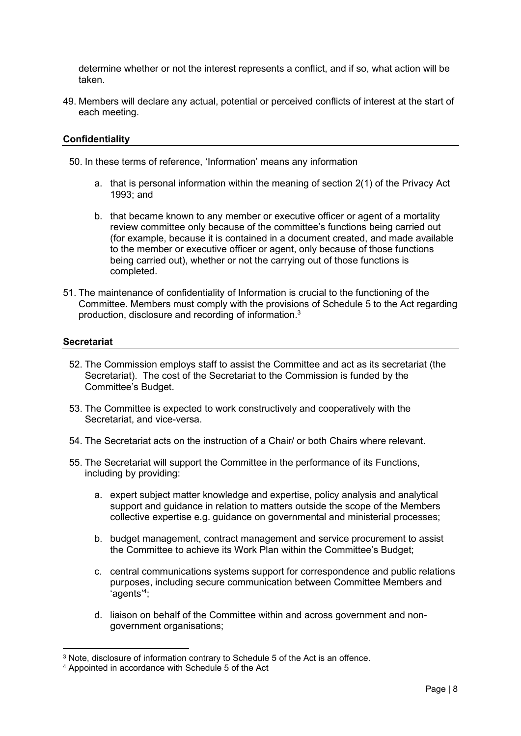determine whether or not the interest represents a conflict, and if so, what action will be taken.

49. Members will declare any actual, potential or perceived conflicts of interest at the start of each meeting.

# **Confidentiality**

50. In these terms of reference, 'Information' means any information

- a. that is personal information within the meaning of section 2(1) of the Privacy Act 1993; and
- b. that became known to any member or executive officer or agent of a mortality review committee only because of the committee's functions being carried out (for example, because it is contained in a document created, and made available to the member or executive officer or agent, only because of those functions being carried out), whether or not the carrying out of those functions is completed.
- 51. The maintenance of confidentiality of Information is crucial to the functioning of the Committee. Members must comply with the provisions of Schedule 5 to the Act regarding production, disclosure and recording of information.<sup>3</sup>

#### **Secretariat**

- 52. The Commission employs staff to assist the Committee and act as its secretariat (the Secretariat). The cost of the Secretariat to the Commission is funded by the Committee's Budget.
- 53. The Committee is expected to work constructively and cooperatively with the Secretariat, and vice-versa.
- 54. The Secretariat acts on the instruction of a Chair/ or both Chairs where relevant.
- 55. The Secretariat will support the Committee in the performance of its Functions, including by providing:
	- a. expert subject matter knowledge and expertise, policy analysis and analytical support and guidance in relation to matters outside the scope of the Members collective expertise e.g. guidance on governmental and ministerial processes;
	- b. budget management, contract management and service procurement to assist the Committee to achieve its Work Plan within the Committee's Budget;
	- c. central communications systems support for correspondence and public relations purposes, including secure communication between Committee Members and 'agents'<sup>4</sup> ;
	- d. liaison on behalf of the Committee within and across government and nongovernment organisations;

<sup>3</sup> Note, disclosure of information contrary to Schedule 5 of the Act is an offence.

<sup>4</sup> Appointed in accordance with Schedule 5 of the Act